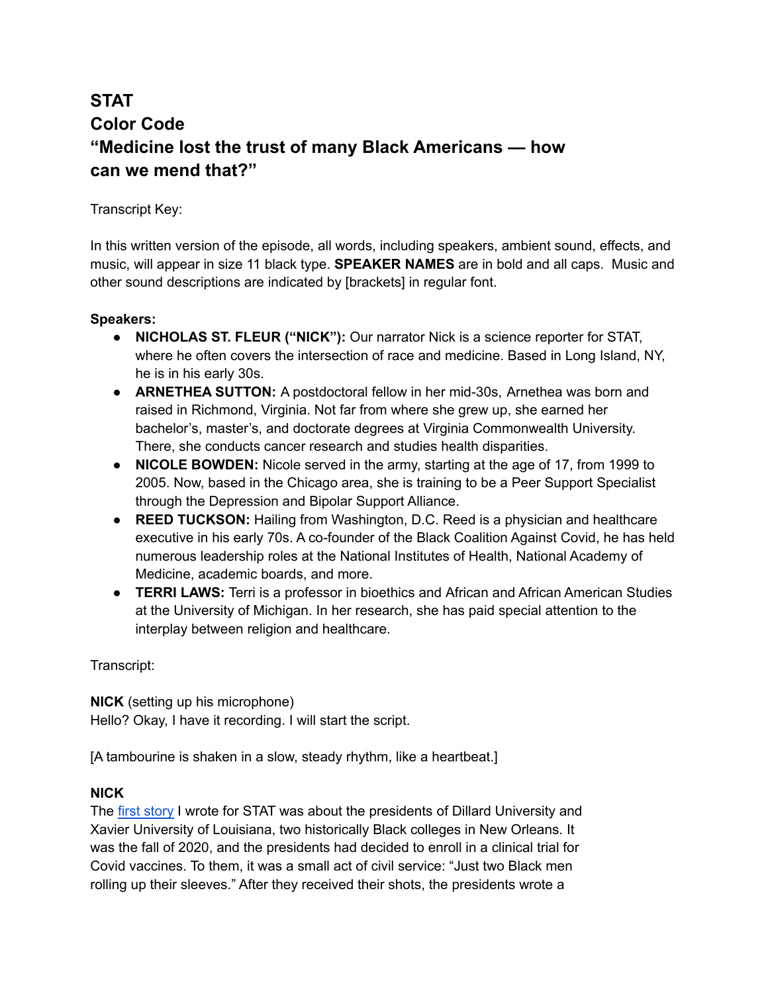# **STAT Color Code "Medicine lost the trust of many Black Americans — how can we mend that?"**

# Transcript Key:

In this written version of the episode, all words, including speakers, ambient sound, effects, and music, will appear in size 11 black type. **SPEAKER NAMES** are in bold and all caps. Music and other sound descriptions are indicated by [brackets] in regular font.

# **Speakers:**

- **● NICHOLAS ST. FLEUR ("NICK"):** Our narrator Nick is a science reporter for STAT, where he often covers the intersection of race and medicine. Based in Long Island, NY, he is in his early 30s.
- **● ARNETHEA SUTTON:** A postdoctoral fellow in her mid-30s, Arnethea was born and raised in Richmond, Virginia. Not far from where she grew up, she earned her bachelor's, master's, and doctorate degrees at Virginia Commonwealth University. There, she conducts cancer research and studies health disparities.
- **● NICOLE BOWDEN:** Nicole served in the army, starting at the age of 17, from 1999 to 2005. Now, based in the Chicago area, she is training to be a Peer Support Specialist through the Depression and Bipolar Support Alliance.
- **● REED TUCKSON:** Hailing from Washington, D.C. Reed is a physician and healthcare executive in his early 70s. A co-founder of the Black Coalition Against Covid, he has held numerous leadership roles at the National Institutes of Health, National Academy of Medicine, academic boards, and more.
- **● TERRI LAWS:** Terri is a professor in bioethics and African and African American Studies at the University of Michigan. In her research, she has paid special attention to the interplay between religion and healthcare.

Transcript:

**NICK** (setting up his microphone) Hello? Okay, I have it recording. I will start the script.

[A tambourine is shaken in a slow, steady rhythm, like a heartbeat.]

# **NICK**

The first [story](https://www.statnews.com/2020/10/12/two-black-university-leaders-urged-their-campuses-to-join-a-covid-19-vaccine-trial-the-backlash-was-swift/) I wrote for STAT was about the presidents of Dillard University and Xavier University of Louisiana, two historically Black colleges in New Orleans. It was the fall of 2020, and the presidents had decided to enroll in a clinical trial for Covid vaccines. To them, it was a small act of civil service: "Just two Black men rolling up their sleeves." After they received their shots, the presidents wrote a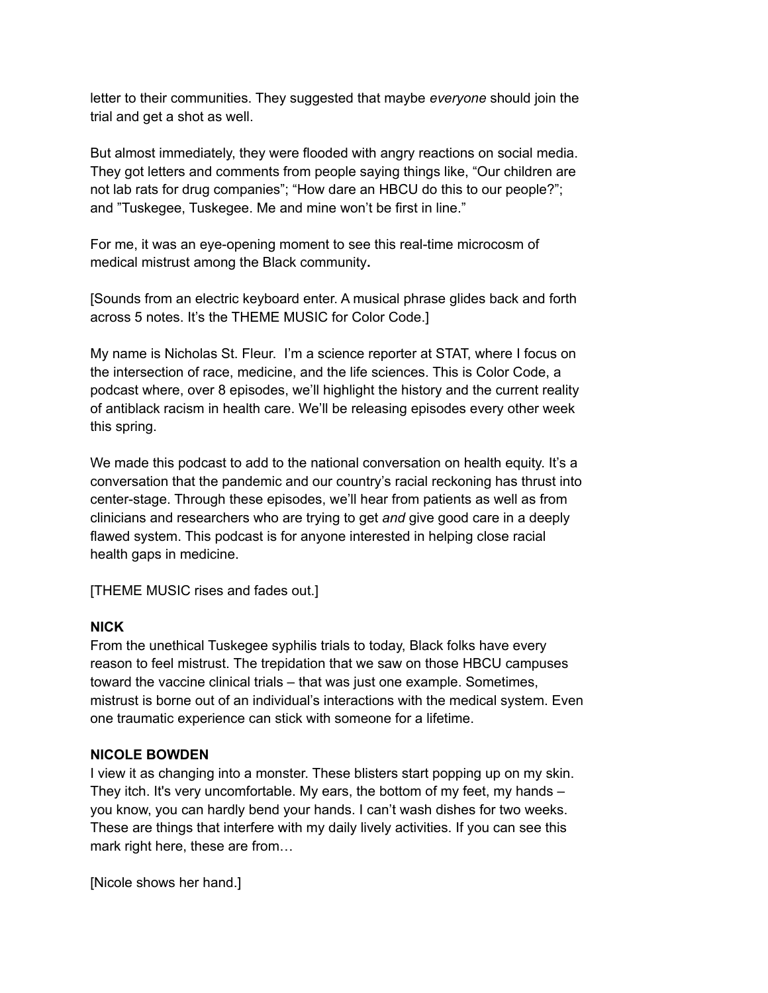letter to their communities. They suggested that maybe *everyone* should join the trial and get a shot as well.

But almost immediately, they were flooded with angry reactions on social media. They got letters and comments from people saying things like, "Our children are not lab rats for drug companies"; "How dare an HBCU do this to our people?"; and "Tuskegee, Tuskegee. Me and mine won't be first in line."

For me, it was an eye-opening moment to see this real-time microcosm of medical mistrust among the Black community**.**

[Sounds from an electric keyboard enter. A musical phrase glides back and forth across 5 notes. It's the THEME MUSIC for Color Code.]

My name is Nicholas St. Fleur. I'm a science reporter at STAT, where I focus on the intersection of race, medicine, and the life sciences. This is Color Code, a podcast where, over 8 episodes, we'll highlight the history and the current reality of antiblack racism in health care. We'll be releasing episodes every other week this spring.

We made this podcast to add to the national conversation on health equity. It's a conversation that the pandemic and our country's racial reckoning has thrust into center-stage. Through these episodes, we'll hear from patients as well as from clinicians and researchers who are trying to get *and* give good care in a deeply flawed system. This podcast is for anyone interested in helping close racial health gaps in medicine.

[THEME MUSIC rises and fades out.]

# **NICK**

From the unethical Tuskegee syphilis trials to today, Black folks have every reason to feel mistrust. The trepidation that we saw on those HBCU campuses toward the vaccine clinical trials – that was just one example. Sometimes, mistrust is borne out of an individual's interactions with the medical system. Even one traumatic experience can stick with someone for a lifetime.

#### **NICOLE BOWDEN**

I view it as changing into a monster. These blisters start popping up on my skin. They itch. It's very uncomfortable. My ears, the bottom of my feet, my hands – you know, you can hardly bend your hands. I can't wash dishes for two weeks. These are things that interfere with my daily lively activities. If you can see this mark right here, these are from…

[Nicole shows her hand.]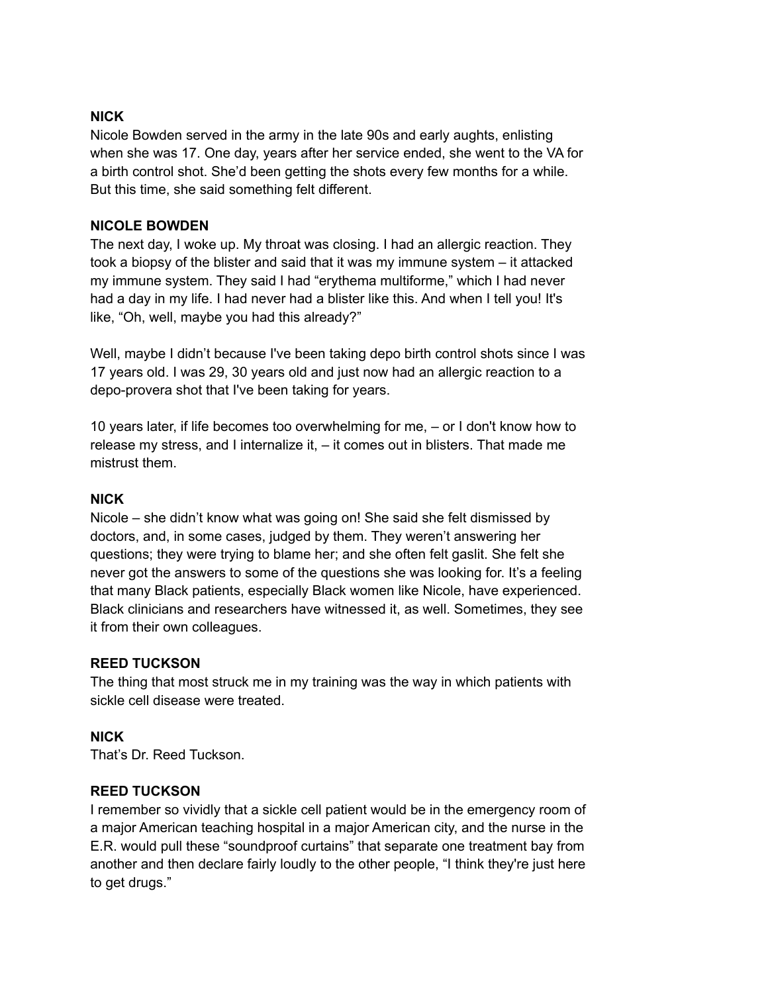#### **NICK**

Nicole Bowden served in the army in the late 90s and early aughts, enlisting when she was 17. One day, years after her service ended, she went to the VA for a birth control shot. She'd been getting the shots every few months for a while. But this time, she said something felt different.

#### **NICOLE BOWDEN**

The next day, I woke up. My throat was closing. I had an allergic reaction. They took a biopsy of the blister and said that it was my immune system – it attacked my immune system. They said I had "erythema multiforme," which I had never had a day in my life. I had never had a blister like this. And when I tell you! It's like, "Oh, well, maybe you had this already?"

Well, maybe I didn't because I've been taking depo birth control shots since I was 17 years old. I was 29, 30 years old and just now had an allergic reaction to a depo-provera shot that I've been taking for years.

10 years later, if life becomes too overwhelming for me, – or I don't know how to release my stress, and I internalize it, – it comes out in blisters. That made me mistrust them.

#### **NICK**

Nicole – she didn't know what was going on! She said she felt dismissed by doctors, and, in some cases, judged by them. They weren't answering her questions; they were trying to blame her; and she often felt gaslit. She felt she never got the answers to some of the questions she was looking for. It's a feeling that many Black patients, especially Black women like Nicole, have experienced. Black clinicians and researchers have witnessed it, as well. Sometimes, they see it from their own colleagues.

#### **REED TUCKSON**

The thing that most struck me in my training was the way in which patients with sickle cell disease were treated.

#### **NICK**

That's Dr. Reed Tuckson.

#### **REED TUCKSON**

I remember so vividly that a sickle cell patient would be in the emergency room of a major American teaching hospital in a major American city, and the nurse in the E.R. would pull these "soundproof curtains" that separate one treatment bay from another and then declare fairly loudly to the other people, "I think they're just here to get drugs."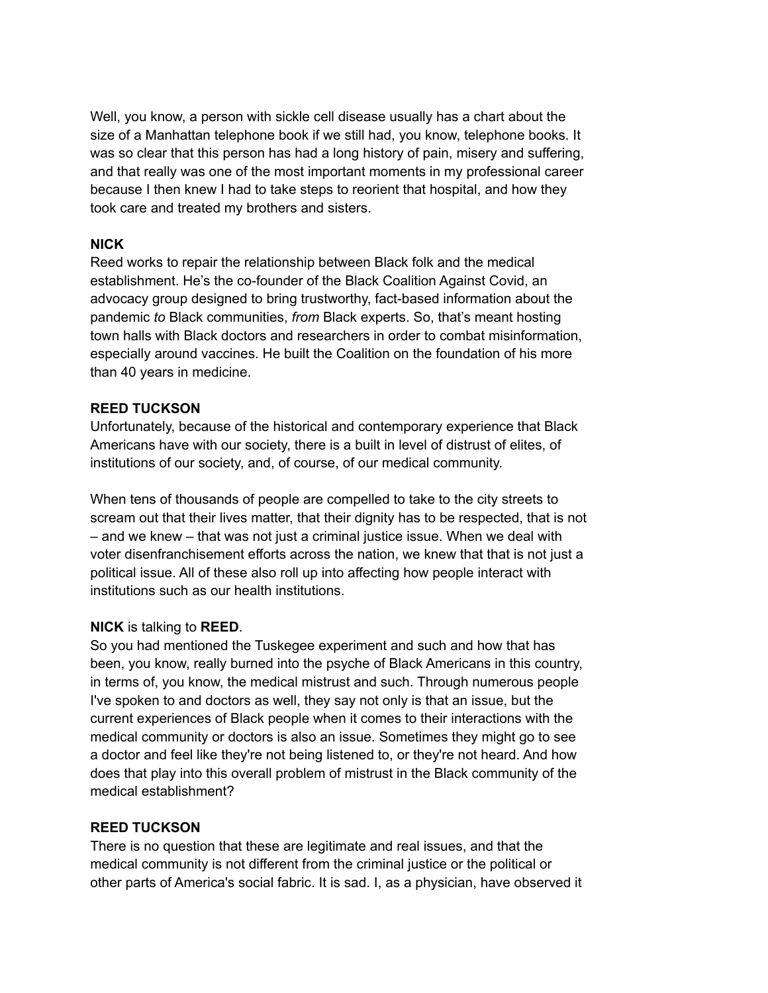Well, you know, a person with sickle cell disease usually has a chart about the size of a Manhattan telephone book if we still had, you know, telephone books. It was so clear that this person has had a long history of pain, misery and suffering, and that really was one of the most important moments in my professional career because I then knew I had to take steps to reorient that hospital, and how they took care and treated my brothers and sisters.

#### **NICK**

Reed works to repair the relationship between Black folk and the medical establishment. He's the co-founder of the Black Coalition Against Covid, an advocacy group designed to bring trustworthy, fact-based information about the pandemic *to* Black communities, *from* Black experts. So, that's meant hosting town halls with Black doctors and researchers in order to combat misinformation, especially around vaccines. He built the Coalition on the foundation of his more than 40 years in medicine.

#### **REED TUCKSON**

Unfortunately, because of the historical and contemporary experience that Black Americans have with our society, there is a built in level of distrust of elites, of institutions of our society, and, of course, of our medical community.

When tens of thousands of people are compelled to take to the city streets to scream out that their lives matter, that their dignity has to be respected, that is not – and we knew – that was not just a criminal justice issue. When we deal with voter disenfranchisement efforts across the nation, we knew that that is not just a political issue. All of these also roll up into affecting how people interact with institutions such as our health institutions.

# **NICK** is talking to **REED**.

So you had mentioned the Tuskegee experiment and such and how that has been, you know, really burned into the psyche of Black Americans in this country, in terms of, you know, the medical mistrust and such. Through numerous people I've spoken to and doctors as well, they say not only is that an issue, but the current experiences of Black people when it comes to their interactions with the medical community or doctors is also an issue. Sometimes they might go to see a doctor and feel like they're not being listened to, or they're not heard. And how does that play into this overall problem of mistrust in the Black community of the medical establishment?

# **REED TUCKSON**

There is no question that these are legitimate and real issues, and that the medical community is not different from the criminal justice or the political or other parts of America's social fabric. It is sad. I, as a physician, have observed it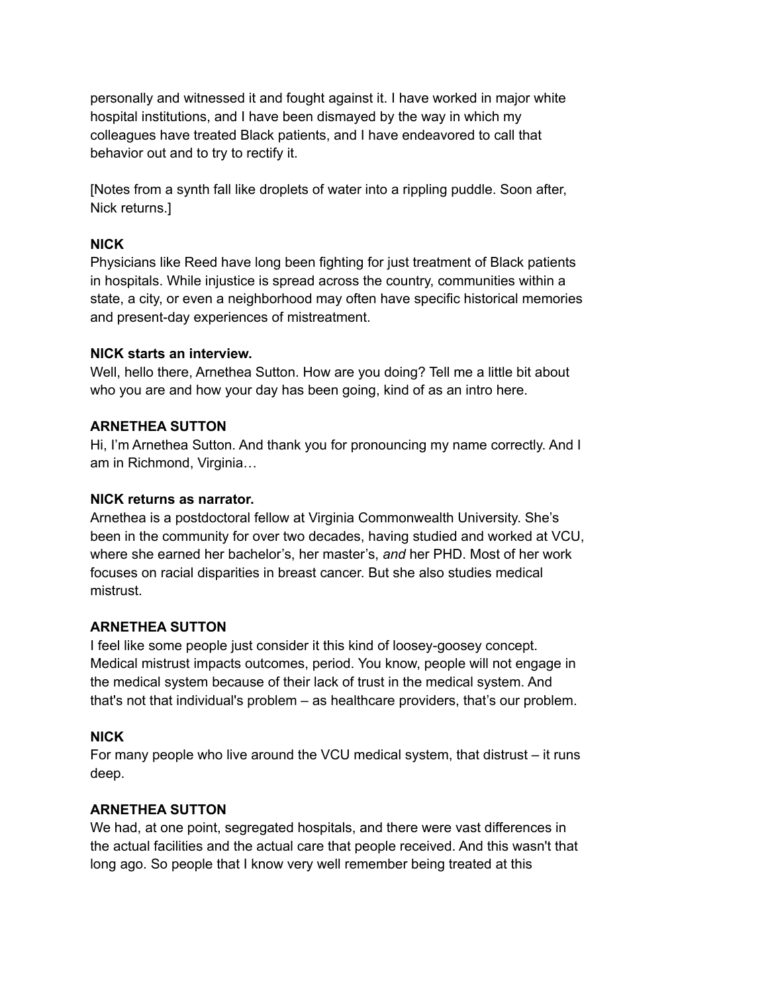personally and witnessed it and fought against it. I have worked in major white hospital institutions, and I have been dismayed by the way in which my colleagues have treated Black patients, and I have endeavored to call that behavior out and to try to rectify it.

[Notes from a synth fall like droplets of water into a rippling puddle. Soon after, Nick returns.]

# **NICK**

Physicians like Reed have long been fighting for just treatment of Black patients in hospitals. While injustice is spread across the country, communities within a state, a city, or even a neighborhood may often have specific historical memories and present-day experiences of mistreatment.

# **NICK starts an interview.**

Well, hello there, Arnethea Sutton. How are you doing? Tell me a little bit about who you are and how your day has been going, kind of as an intro here.

# **ARNETHEA SUTTON**

Hi, I'm Arnethea Sutton. And thank you for pronouncing my name correctly. And I am in Richmond, Virginia…

# **NICK returns as narrator.**

Arnethea is a postdoctoral fellow at Virginia Commonwealth University. She's been in the community for over two decades, having studied and worked at VCU, where she earned her bachelor's, her master's, *and* her PHD. Most of her work focuses on racial disparities in breast cancer. But she also studies medical mistrust.

# **ARNETHEA SUTTON**

I feel like some people just consider it this kind of loosey-goosey concept. Medical mistrust impacts outcomes, period. You know, people will not engage in the medical system because of their lack of trust in the medical system. And that's not that individual's problem – as healthcare providers, that's our problem.

# **NICK**

For many people who live around the VCU medical system, that distrust – it runs deep.

# **ARNETHEA SUTTON**

We had, at one point, segregated hospitals, and there were vast differences in the actual facilities and the actual care that people received. And this wasn't that long ago. So people that I know very well remember being treated at this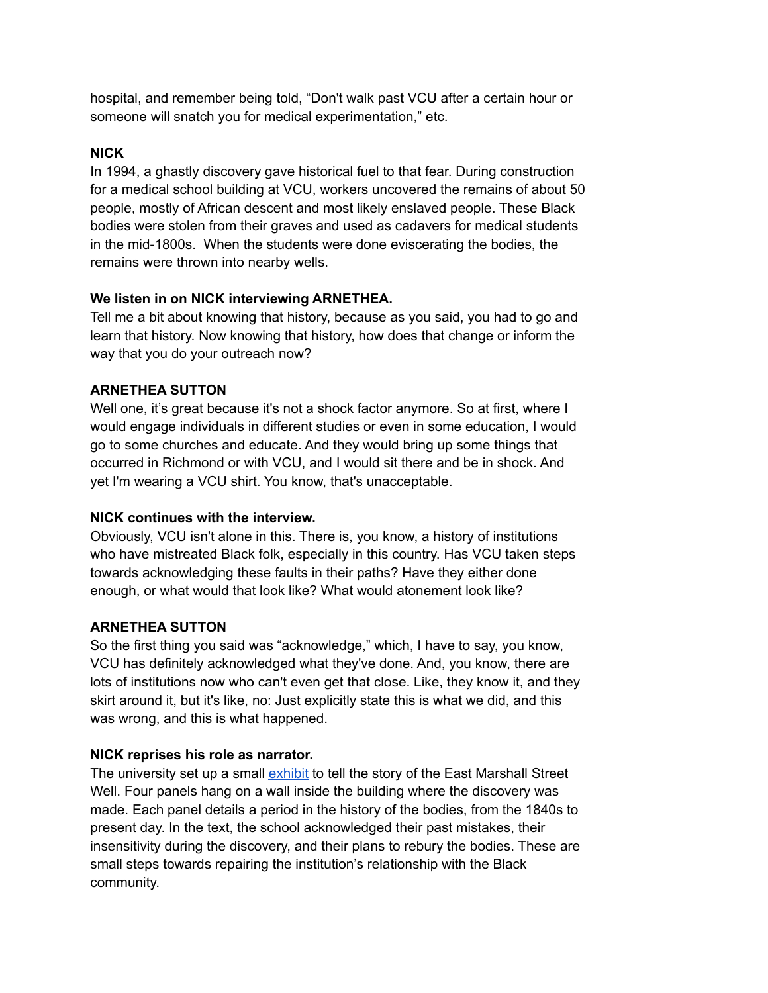hospital, and remember being told, "Don't walk past VCU after a certain hour or someone will snatch you for medical experimentation," etc.

# **NICK**

In 1994, a ghastly discovery gave historical fuel to that fear. During construction for a medical school building at VCU, workers uncovered the remains of about 50 people, mostly of African descent and most likely enslaved people. These Black bodies were stolen from their graves and used as cadavers for medical students in the mid-1800s. When the students were done eviscerating the bodies, the remains were thrown into nearby wells.

#### **We listen in on NICK interviewing ARNETHEA.**

Tell me a bit about knowing that history, because as you said, you had to go and learn that history. Now knowing that history, how does that change or inform the way that you do your outreach now?

# **ARNETHEA SUTTON**

Well one, it's great because it's not a shock factor anymore. So at first, where I would engage individuals in different studies or even in some education, I would go to some churches and educate. And they would bring up some things that occurred in Richmond or with VCU, and I would sit there and be in shock. And yet I'm wearing a VCU shirt. You know, that's unacceptable.

# **NICK continues with the interview.**

Obviously, VCU isn't alone in this. There is, you know, a history of institutions who have mistreated Black folk, especially in this country. Has VCU taken steps towards acknowledging these faults in their paths? Have they either done enough, or what would that look like? What would atonement look like?

# **ARNETHEA SUTTON**

So the first thing you said was "acknowledge," which, I have to say, you know, VCU has definitely acknowledged what they've done. And, you know, there are lots of institutions now who can't even get that close. Like, they know it, and they skirt around it, but it's like, no: Just explicitly state this is what we did, and this was wrong, and this is what happened.

# **NICK reprises his role as narrator.**

The university set up a small [exhibit](https://news.vcu.edu/article/2021/09/vcu-panels-commemorate-19th-century-human-remains-found-in-an-mcv-campus-well) to tell the story of the East Marshall Street Well. Four panels hang on a wall inside the building where the discovery was made. Each panel details a period in the history of the bodies, from the 1840s to present day. In the text, the school acknowledged their past mistakes, their insensitivity during the discovery, and their plans to rebury the bodies. These are small steps towards repairing the institution's relationship with the Black community.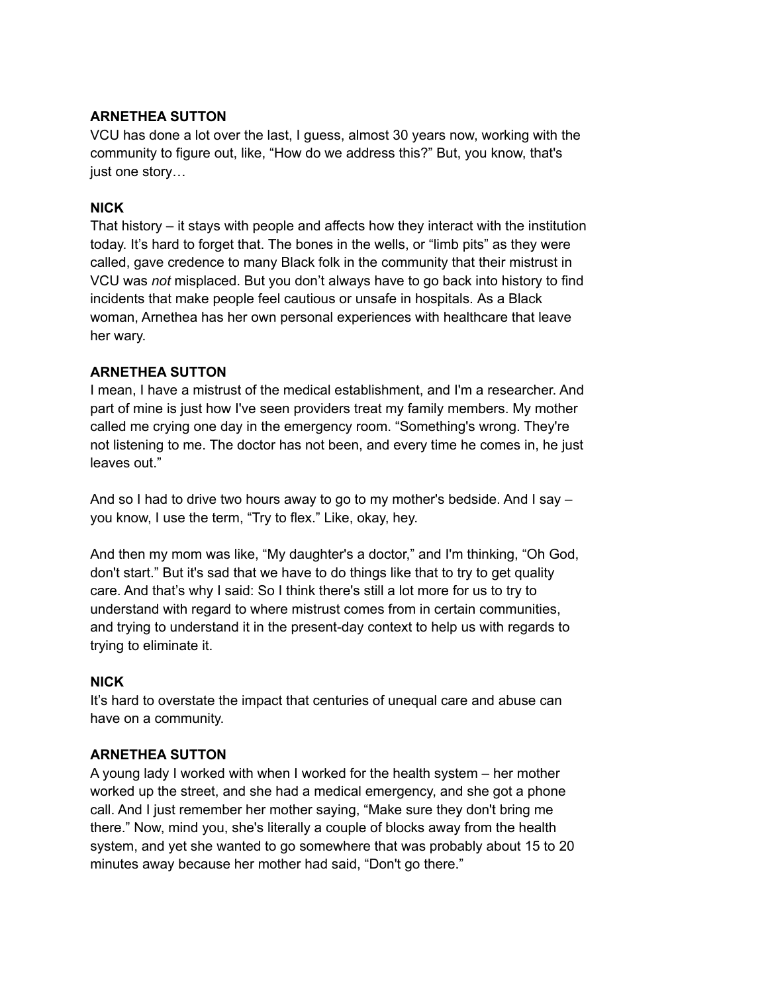# **ARNETHEA SUTTON**

VCU has done a lot over the last, I guess, almost 30 years now, working with the community to figure out, like, "How do we address this?" But, you know, that's just one story…

#### **NICK**

That history – it stays with people and affects how they interact with the institution today. It's hard to forget that. The bones in the wells, or "limb pits" as they were called, gave credence to many Black folk in the community that their mistrust in VCU was *not* misplaced. But you don't always have to go back into history to find incidents that make people feel cautious or unsafe in hospitals. As a Black woman, Arnethea has her own personal experiences with healthcare that leave her wary.

#### **ARNETHEA SUTTON**

I mean, I have a mistrust of the medical establishment, and I'm a researcher. And part of mine is just how I've seen providers treat my family members. My mother called me crying one day in the emergency room. "Something's wrong. They're not listening to me. The doctor has not been, and every time he comes in, he just leaves out."

And so I had to drive two hours away to go to my mother's bedside. And I say – you know, I use the term, "Try to flex." Like, okay, hey.

And then my mom was like, "My daughter's a doctor," and I'm thinking, "Oh God, don't start." But it's sad that we have to do things like that to try to get quality care. And that's why I said: So I think there's still a lot more for us to try to understand with regard to where mistrust comes from in certain communities, and trying to understand it in the present-day context to help us with regards to trying to eliminate it.

#### **NICK**

It's hard to overstate the impact that centuries of unequal care and abuse can have on a community.

# **ARNETHEA SUTTON**

A young lady I worked with when I worked for the health system – her mother worked up the street, and she had a medical emergency, and she got a phone call. And I just remember her mother saying, "Make sure they don't bring me there." Now, mind you, she's literally a couple of blocks away from the health system, and yet she wanted to go somewhere that was probably about 15 to 20 minutes away because her mother had said, "Don't go there."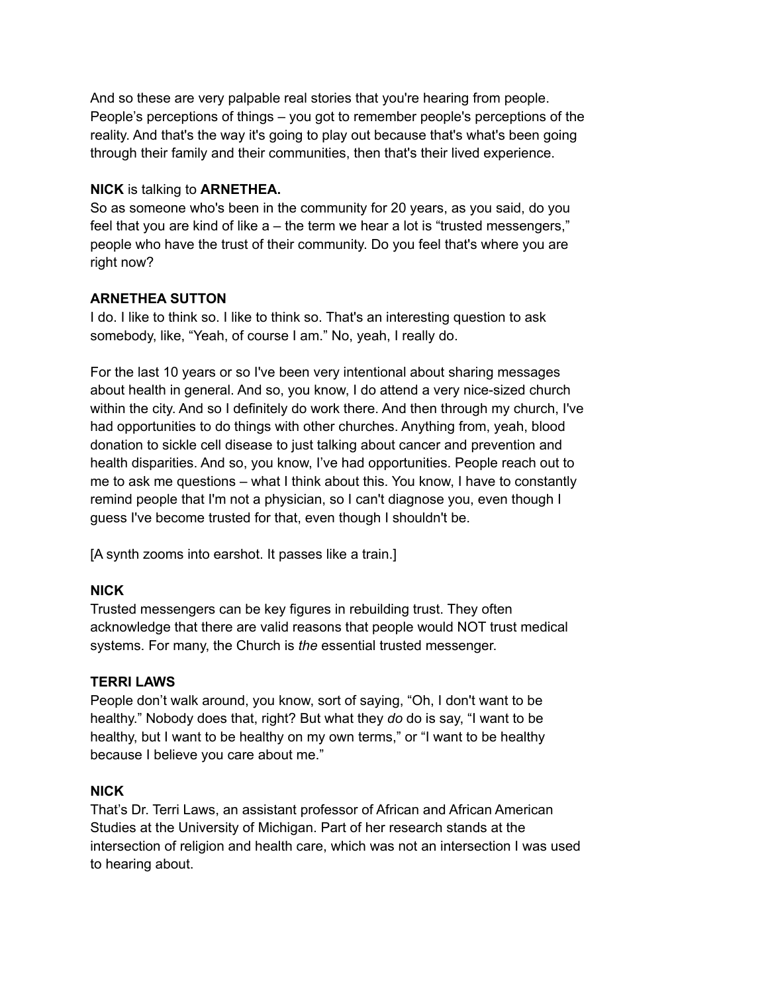And so these are very palpable real stories that you're hearing from people. People's perceptions of things – you got to remember people's perceptions of the reality. And that's the way it's going to play out because that's what's been going through their family and their communities, then that's their lived experience.

### **NICK** is talking to **ARNETHEA.**

So as someone who's been in the community for 20 years, as you said, do you feel that you are kind of like a – the term we hear a lot is "trusted messengers," people who have the trust of their community. Do you feel that's where you are right now?

# **ARNETHEA SUTTON**

I do. I like to think so. I like to think so. That's an interesting question to ask somebody, like, "Yeah, of course I am." No, yeah, I really do.

For the last 10 years or so I've been very intentional about sharing messages about health in general. And so, you know, I do attend a very nice-sized church within the city. And so I definitely do work there. And then through my church, I've had opportunities to do things with other churches. Anything from, yeah, blood donation to sickle cell disease to just talking about cancer and prevention and health disparities. And so, you know, I've had opportunities. People reach out to me to ask me questions – what I think about this. You know, I have to constantly remind people that I'm not a physician, so I can't diagnose you, even though I guess I've become trusted for that, even though I shouldn't be.

[A synth zooms into earshot. It passes like a train.]

# **NICK**

Trusted messengers can be key figures in rebuilding trust. They often acknowledge that there are valid reasons that people would NOT trust medical systems. For many, the Church is *the* essential trusted messenger.

# **TERRI LAWS**

People don't walk around, you know, sort of saying, "Oh, I don't want to be healthy." Nobody does that, right? But what they *do* do is say, "I want to be healthy, but I want to be healthy on my own terms," or "I want to be healthy because I believe you care about me."

#### **NICK**

That's Dr. Terri Laws, an assistant professor of African and African American Studies at the University of Michigan. Part of her research stands at the intersection of religion and health care, which was not an intersection I was used to hearing about.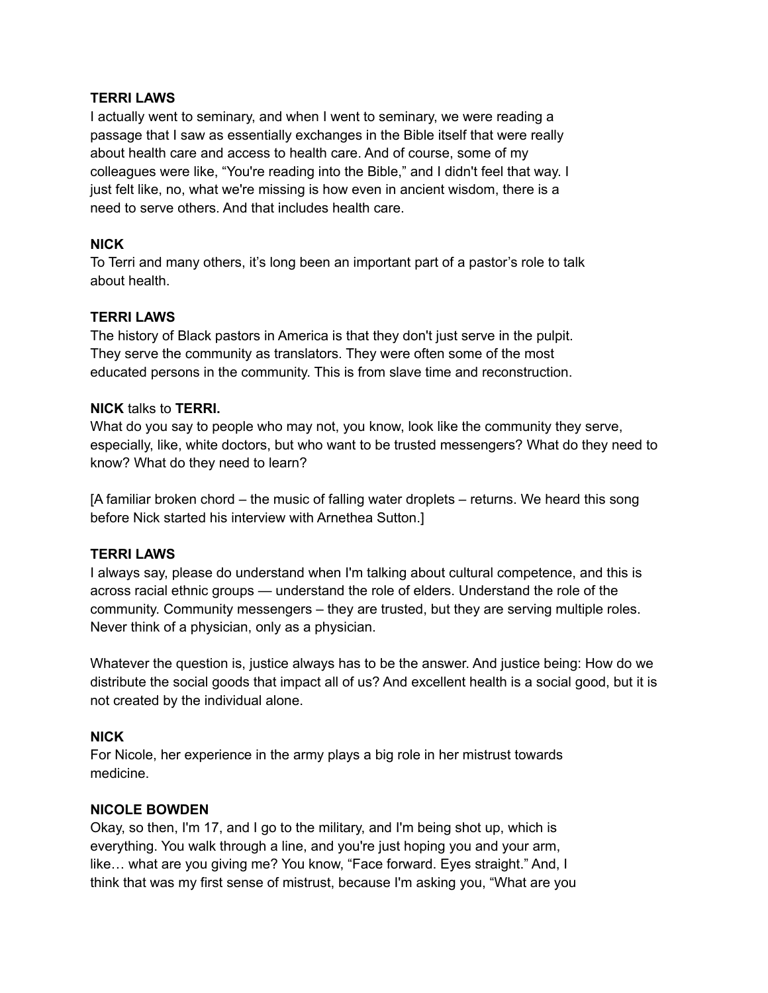#### **TERRI LAWS**

I actually went to seminary, and when I went to seminary, we were reading a passage that I saw as essentially exchanges in the Bible itself that were really about health care and access to health care. And of course, some of my colleagues were like, "You're reading into the Bible," and I didn't feel that way. I just felt like, no, what we're missing is how even in ancient wisdom, there is a need to serve others. And that includes health care.

#### **NICK**

To Terri and many others, it's long been an important part of a pastor's role to talk about health.

#### **TERRI LAWS**

The history of Black pastors in America is that they don't just serve in the pulpit. They serve the community as translators. They were often some of the most educated persons in the community. This is from slave time and reconstruction.

#### **NICK** talks to **TERRI.**

What do you say to people who may not, you know, look like the community they serve, especially, like, white doctors, but who want to be trusted messengers? What do they need to know? What do they need to learn?

[A familiar broken chord – the music of falling water droplets – returns. We heard this song before Nick started his interview with Arnethea Sutton.]

#### **TERRI LAWS**

I always say, please do understand when I'm talking about cultural competence, and this is across racial ethnic groups — understand the role of elders. Understand the role of the community. Community messengers – they are trusted, but they are serving multiple roles. Never think of a physician, only as a physician.

Whatever the question is, justice always has to be the answer. And justice being: How do we distribute the social goods that impact all of us? And excellent health is a social good, but it is not created by the individual alone.

#### **NICK**

For Nicole, her experience in the army plays a big role in her mistrust towards medicine.

#### **NICOLE BOWDEN**

Okay, so then, I'm 17, and I go to the military, and I'm being shot up, which is everything. You walk through a line, and you're just hoping you and your arm, like… what are you giving me? You know, "Face forward. Eyes straight." And, I think that was my first sense of mistrust, because I'm asking you, "What are you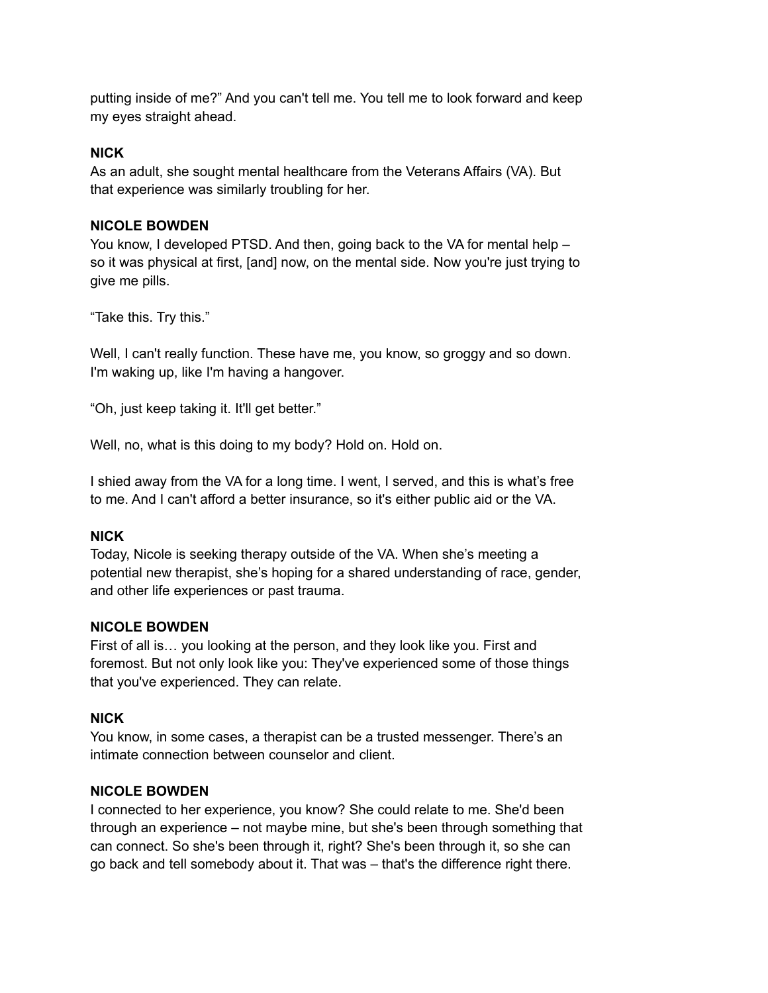putting inside of me?" And you can't tell me. You tell me to look forward and keep my eyes straight ahead.

#### **NICK**

As an adult, she sought mental healthcare from the Veterans Affairs (VA). But that experience was similarly troubling for her.

#### **NICOLE BOWDEN**

You know, I developed PTSD. And then, going back to the VA for mental help – so it was physical at first, [and] now, on the mental side. Now you're just trying to give me pills.

"Take this. Try this."

Well, I can't really function. These have me, you know, so groggy and so down. I'm waking up, like I'm having a hangover.

"Oh, just keep taking it. It'll get better."

Well, no, what is this doing to my body? Hold on. Hold on.

I shied away from the VA for a long time. I went, I served, and this is what's free to me. And I can't afford a better insurance, so it's either public aid or the VA.

# **NICK**

Today, Nicole is seeking therapy outside of the VA. When she's meeting a potential new therapist, she's hoping for a shared understanding of race, gender, and other life experiences or past trauma.

#### **NICOLE BOWDEN**

First of all is… you looking at the person, and they look like you. First and foremost. But not only look like you: They've experienced some of those things that you've experienced. They can relate.

#### **NICK**

You know, in some cases, a therapist can be a trusted messenger. There's an intimate connection between counselor and client.

#### **NICOLE BOWDEN**

I connected to her experience, you know? She could relate to me. She'd been through an experience – not maybe mine, but she's been through something that can connect. So she's been through it, right? She's been through it, so she can go back and tell somebody about it. That was – that's the difference right there.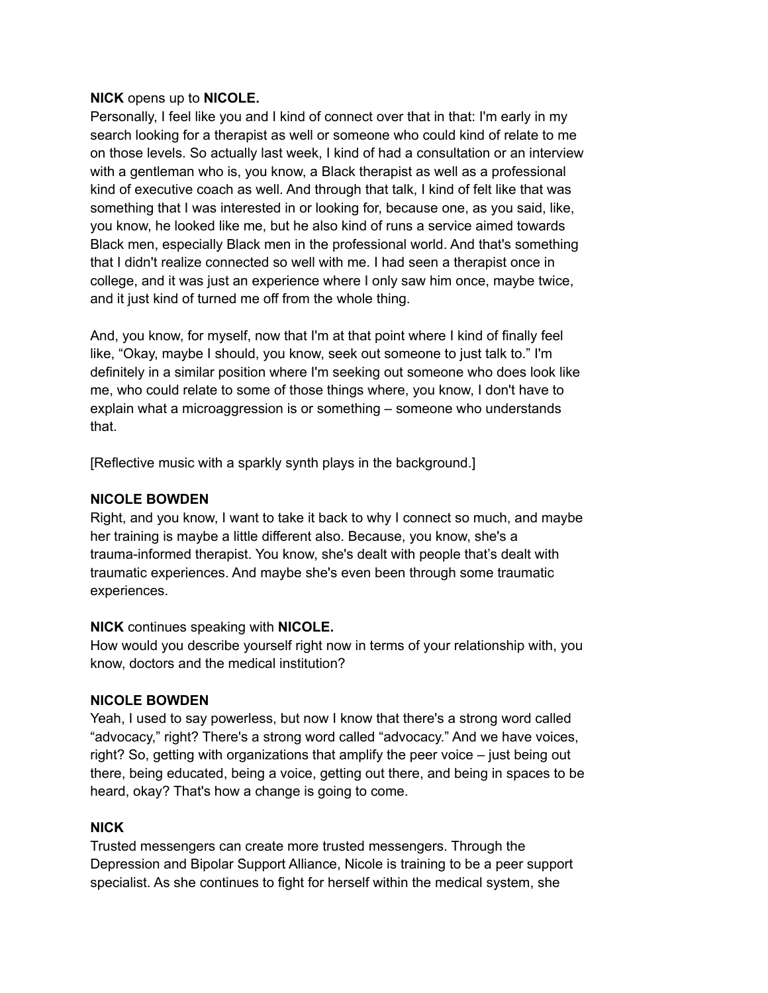#### **NICK** opens up to **NICOLE.**

Personally, I feel like you and I kind of connect over that in that: I'm early in my search looking for a therapist as well or someone who could kind of relate to me on those levels. So actually last week, I kind of had a consultation or an interview with a gentleman who is, you know, a Black therapist as well as a professional kind of executive coach as well. And through that talk, I kind of felt like that was something that I was interested in or looking for, because one, as you said, like, you know, he looked like me, but he also kind of runs a service aimed towards Black men, especially Black men in the professional world. And that's something that I didn't realize connected so well with me. I had seen a therapist once in college, and it was just an experience where I only saw him once, maybe twice, and it just kind of turned me off from the whole thing.

And, you know, for myself, now that I'm at that point where I kind of finally feel like, "Okay, maybe I should, you know, seek out someone to just talk to." I'm definitely in a similar position where I'm seeking out someone who does look like me, who could relate to some of those things where, you know, I don't have to explain what a microaggression is or something – someone who understands that.

[Reflective music with a sparkly synth plays in the background.]

### **NICOLE BOWDEN**

Right, and you know, I want to take it back to why I connect so much, and maybe her training is maybe a little different also. Because, you know, she's a trauma-informed therapist. You know, she's dealt with people that's dealt with traumatic experiences. And maybe she's even been through some traumatic experiences.

# **NICK** continues speaking with **NICOLE.**

How would you describe yourself right now in terms of your relationship with, you know, doctors and the medical institution?

# **NICOLE BOWDEN**

Yeah, I used to say powerless, but now I know that there's a strong word called "advocacy," right? There's a strong word called "advocacy." And we have voices, right? So, getting with organizations that amplify the peer voice – just being out there, being educated, being a voice, getting out there, and being in spaces to be heard, okay? That's how a change is going to come.

# **NICK**

Trusted messengers can create more trusted messengers. Through the Depression and Bipolar Support Alliance, Nicole is training to be a peer support specialist. As she continues to fight for herself within the medical system, she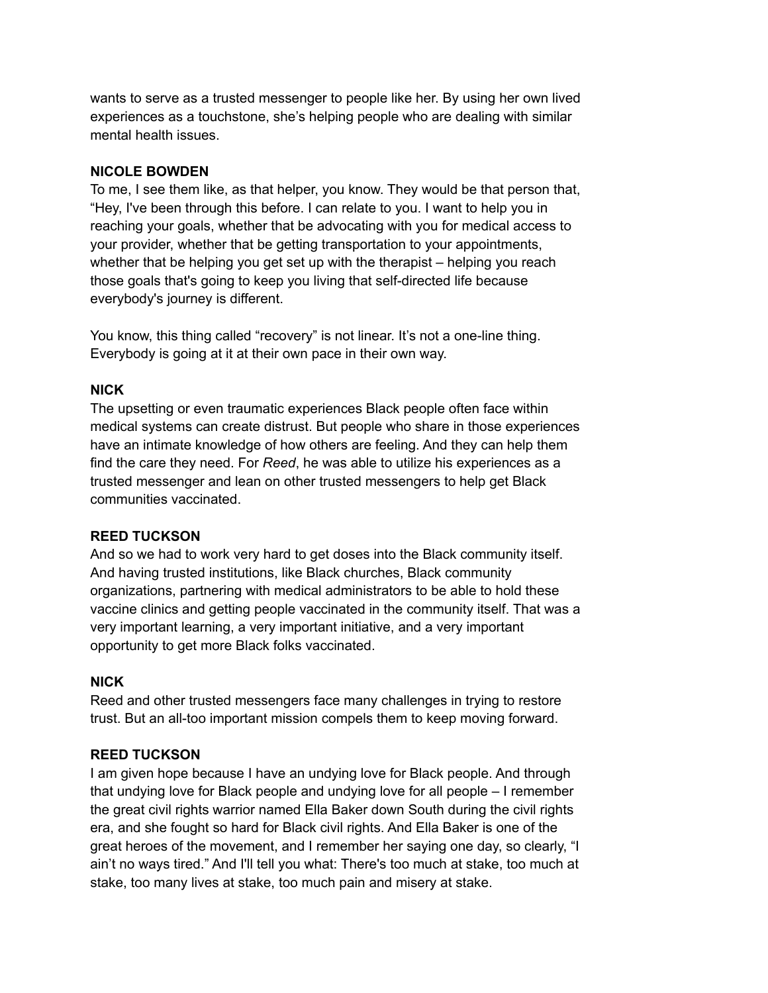wants to serve as a trusted messenger to people like her. By using her own lived experiences as a touchstone, she's helping people who are dealing with similar mental health issues.

# **NICOLE BOWDEN**

To me, I see them like, as that helper, you know. They would be that person that, "Hey, I've been through this before. I can relate to you. I want to help you in reaching your goals, whether that be advocating with you for medical access to your provider, whether that be getting transportation to your appointments, whether that be helping you get set up with the therapist – helping you reach those goals that's going to keep you living that self-directed life because everybody's journey is different.

You know, this thing called "recovery" is not linear. It's not a one-line thing. Everybody is going at it at their own pace in their own way.

# **NICK**

The upsetting or even traumatic experiences Black people often face within medical systems can create distrust. But people who share in those experiences have an intimate knowledge of how others are feeling. And they can help them find the care they need. For *Reed*, he was able to utilize his experiences as a trusted messenger and lean on other trusted messengers to help get Black communities vaccinated.

# **REED TUCKSON**

And so we had to work very hard to get doses into the Black community itself. And having trusted institutions, like Black churches, Black community organizations, partnering with medical administrators to be able to hold these vaccine clinics and getting people vaccinated in the community itself. That was a very important learning, a very important initiative, and a very important opportunity to get more Black folks vaccinated.

# **NICK**

Reed and other trusted messengers face many challenges in trying to restore trust. But an all-too important mission compels them to keep moving forward.

# **REED TUCKSON**

I am given hope because I have an undying love for Black people. And through that undying love for Black people and undying love for all people – I remember the great civil rights warrior named Ella Baker down South during the civil rights era, and she fought so hard for Black civil rights. And Ella Baker is one of the great heroes of the movement, and I remember her saying one day, so clearly, "I ain't no ways tired." And I'll tell you what: There's too much at stake, too much at stake, too many lives at stake, too much pain and misery at stake.